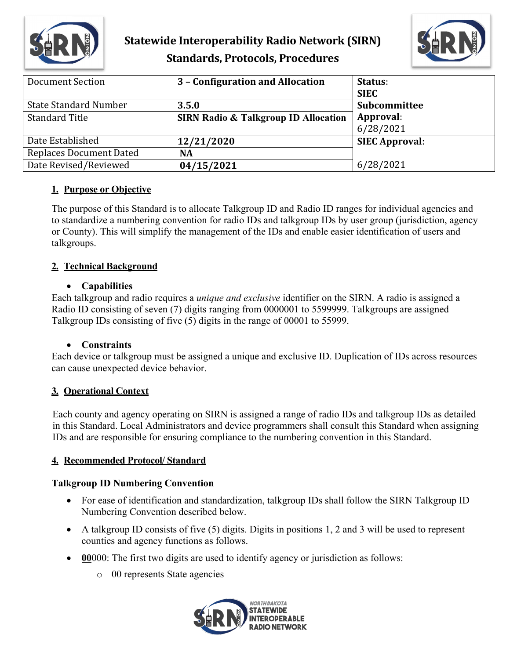



| <b>Document Section</b>        | 3 - Configuration and Allocation                | Status:<br><b>SIEC</b> |
|--------------------------------|-------------------------------------------------|------------------------|
| <b>State Standard Number</b>   | 3.5.0                                           | Subcommittee           |
| <b>Standard Title</b>          | <b>SIRN Radio &amp; Talkgroup ID Allocation</b> | Approval:<br>6/28/2021 |
| Date Established               | 12/21/2020                                      | <b>SIEC Approval:</b>  |
| <b>Replaces Document Dated</b> | <b>NA</b>                                       |                        |
| Date Revised/Reviewed          | 04/15/2021                                      | 6/28/2021              |

## **1. Purpose or Objective**

The purpose of this Standard is to allocate Talkgroup ID and Radio ID ranges for individual agencies and to standardize a numbering convention for radio IDs and talkgroup IDs by user group (jurisdiction, agency or County). This will simplify the management of the IDs and enable easier identification of users and talkgroups.

## **2. Technical Background**

### • **Capabilities**

Each talkgroup and radio requires a *unique and exclusive* identifier on the SIRN. A radio is assigned a Radio ID consisting of seven (7) digits ranging from 0000001 to 5599999. Talkgroups are assigned Talkgroup IDs consisting of five (5) digits in the range of 00001 to 55999.

### • **Constraints**

Each device or talkgroup must be assigned a unique and exclusive ID. Duplication of IDs across resources can cause unexpected device behavior.

## **3. Operational Context**

Each county and agency operating on SIRN is assigned a range of radio IDs and talkgroup IDs as detailed in this Standard. Local Administrators and device programmers shall consult this Standard when assigning IDs and are responsible for ensuring compliance to the numbering convention in this Standard.

### **4. Recommended Protocol/ Standard**

## **Talkgroup ID Numbering Convention**

- For ease of identification and standardization, talkgroup IDs shall follow the SIRN Talkgroup ID Numbering Convention described below.
- A talkgroup ID consists of five (5) digits. Digits in positions 1, 2 and 3 will be used to represent counties and agency functions as follows.
- **00**000: The first two digits are used to identify agency or jurisdiction as follows:
	- o 00 represents State agencies

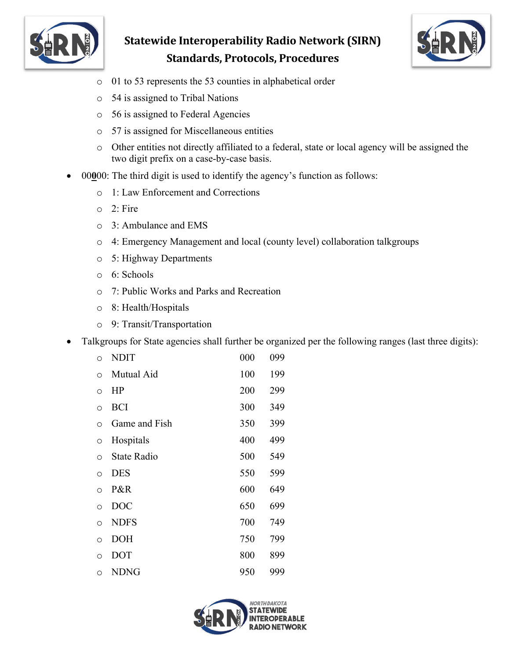



- o 01 to 53 represents the 53 counties in alphabetical order
- o 54 is assigned to Tribal Nations
- o 56 is assigned to Federal Agencies
- o 57 is assigned for Miscellaneous entities
- o Other entities not directly affiliated to a federal, state or local agency will be assigned the two digit prefix on a case-by-case basis.
- 00**0**00: The third digit is used to identify the agency's function as follows:
	- o 1: Law Enforcement and Corrections
	- o 2: Fire
	- o 3: Ambulance and EMS
	- o 4: Emergency Management and local (county level) collaboration talkgroups
	- o 5: Highway Departments
	- o 6: Schools
	- o 7: Public Works and Parks and Recreation
	- o 8: Health/Hospitals
	- o 9: Transit/Transportation
- Talkgroups for State agencies shall further be organized per the following ranges (last three digits):

| $\circ$ | <b>NDIT</b>        | 000 | 099 |
|---------|--------------------|-----|-----|
| $\circ$ | Mutual Aid         | 100 | 199 |
| $\circ$ | HP                 | 200 | 299 |
| $\circ$ | <b>BCI</b>         | 300 | 349 |
| $\circ$ | Game and Fish      | 350 | 399 |
| $\circ$ | Hospitals          | 400 | 499 |
| $\circ$ | <b>State Radio</b> | 500 | 549 |
| $\circ$ | <b>DES</b>         | 550 | 599 |
| $\circ$ | P&R                | 600 | 649 |
| $\circ$ | <b>DOC</b>         | 650 | 699 |
| $\circ$ | <b>NDFS</b>        | 700 | 749 |
| $\circ$ | <b>DOH</b>         | 750 | 799 |
| O       | <b>DOT</b>         | 800 | 899 |
| $\circ$ | <b>NDNG</b>        | 950 | 999 |
|         |                    |     |     |

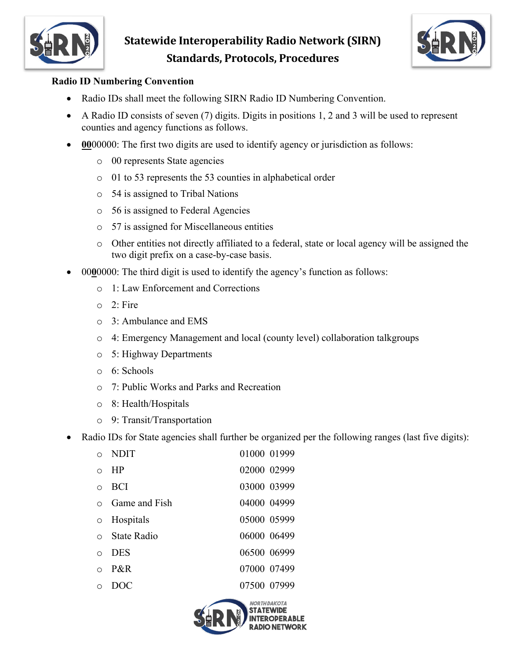



## **Radio ID Numbering Convention**

- Radio IDs shall meet the following SIRN Radio ID Numbering Convention.
- A Radio ID consists of seven (7) digits. Digits in positions 1, 2 and 3 will be used to represent counties and agency functions as follows.
- **00**00000: The first two digits are used to identify agency or jurisdiction as follows:
	- o 00 represents State agencies
	- o 01 to 53 represents the 53 counties in alphabetical order
	- o 54 is assigned to Tribal Nations
	- o 56 is assigned to Federal Agencies
	- o 57 is assigned for Miscellaneous entities
	- o Other entities not directly affiliated to a federal, state or local agency will be assigned the two digit prefix on a case-by-case basis.
- 00**0**0000: The third digit is used to identify the agency's function as follows:
	- o 1: Law Enforcement and Corrections
	- $\circ$  2: Fire
	- o 3: Ambulance and EMS
	- o 4: Emergency Management and local (county level) collaboration talkgroups
	- o 5: Highway Departments
	- o 6: Schools
	- o 7: Public Works and Parks and Recreation
	- o 8: Health/Hospitals
	- o 9: Transit/Transportation
- Radio IDs for State agencies shall further be organized per the following ranges (last five digits):

| $\Omega$ | <b>NDIT</b>            |             | 01000 01999 |
|----------|------------------------|-------------|-------------|
| $\Omega$ | HP                     | 02000 02999 |             |
| $\circ$  | <b>BCI</b>             | 03000 03999 |             |
|          | <b>O</b> Game and Fish |             | 04000 04999 |
|          | o Hospitals            |             | 05000 05999 |
|          | o State Radio          | 06000 06499 |             |
| $\circ$  | <b>DES</b>             | 06500 06999 |             |
| $\Omega$ | $P\&R$                 | 07000 07499 |             |
| $\Omega$ | DOC                    |             | 07500 07999 |

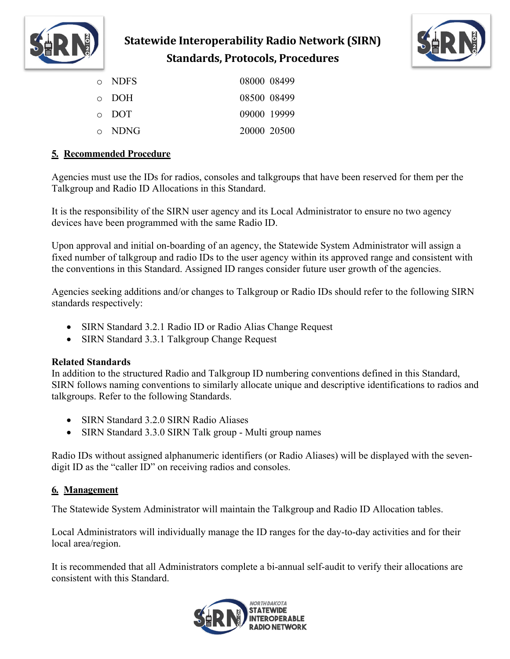



| o NDFS      | 08000 08499 |  |
|-------------|-------------|--|
| $\circ$ DOH | 08500 08499 |  |
| $\circ$ DOT | 09000 19999 |  |
| 0 NDNG      | 20000 20500 |  |

## **5. Recommended Procedure**

Agencies must use the IDs for radios, consoles and talkgroups that have been reserved for them per the Talkgroup and Radio ID Allocations in this Standard.

It is the responsibility of the SIRN user agency and its Local Administrator to ensure no two agency devices have been programmed with the same Radio ID.

Upon approval and initial on-boarding of an agency, the Statewide System Administrator will assign a fixed number of talkgroup and radio IDs to the user agency within its approved range and consistent with the conventions in this Standard. Assigned ID ranges consider future user growth of the agencies.

Agencies seeking additions and/or changes to Talkgroup or Radio IDs should refer to the following SIRN standards respectively:

- SIRN Standard 3.2.1 Radio ID or Radio Alias Change Request
- SIRN Standard 3.3.1 Talkgroup Change Request

### **Related Standards**

In addition to the structured Radio and Talkgroup ID numbering conventions defined in this Standard, SIRN follows naming conventions to similarly allocate unique and descriptive identifications to radios and talkgroups. Refer to the following Standards.

- SIRN Standard 3.2.0 SIRN Radio Aliases
- SIRN Standard 3.3.0 SIRN Talk group Multi group names

Radio IDs without assigned alphanumeric identifiers (or Radio Aliases) will be displayed with the sevendigit ID as the "caller ID" on receiving radios and consoles.

## **6. Management**

The Statewide System Administrator will maintain the Talkgroup and Radio ID Allocation tables.

Local Administrators will individually manage the ID ranges for the day-to-day activities and for their local area/region.

It is recommended that all Administrators complete a bi-annual self-audit to verify their allocations are consistent with this Standard.